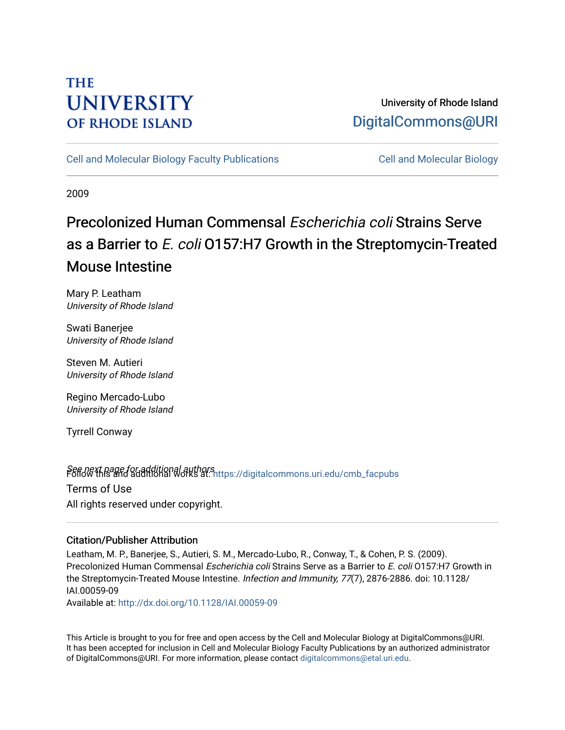# **THE UNIVERSITY OF RHODE ISLAND**

## University of Rhode Island [DigitalCommons@URI](https://digitalcommons.uri.edu/)

[Cell and Molecular Biology Faculty Publications](https://digitalcommons.uri.edu/cmb_facpubs) [Cell and Molecular Biology](https://digitalcommons.uri.edu/cmb) 

2009

# Precolonized Human Commensal Escherichia coli Strains Serve as a Barrier to E. coli 0157:H7 Growth in the Streptomycin-Treated Mouse Intestine

Mary P. Leatham University of Rhode Island

Swati Banerjee University of Rhode Island

Steven M. Autieri University of Rhode Island

Regino Mercado-Lubo University of Rhode Island

Tyrrell Conway

Seff*old* this and additional authors<br>Poliommons.uri.edu/cmb\_facpubs Terms of Use All rights reserved under copyright.

### Citation/Publisher Attribution

Leatham, M. P., Banerjee, S., Autieri, S. M., Mercado-Lubo, R., Conway, T., & Cohen, P. S. (2009). Precolonized Human Commensal Escherichia coli Strains Serve as a Barrier to E. coli 0157:H7 Growth in the Streptomycin-Treated Mouse Intestine. Infection and Immunity, 77(7), 2876-2886. doi: 10.1128/ IAI.00059-09

Available at:<http://dx.doi.org/10.1128/IAI.00059-09>

This Article is brought to you for free and open access by the Cell and Molecular Biology at DigitalCommons@URI. It has been accepted for inclusion in Cell and Molecular Biology Faculty Publications by an authorized administrator of DigitalCommons@URI. For more information, please contact [digitalcommons@etal.uri.edu](mailto:digitalcommons@etal.uri.edu).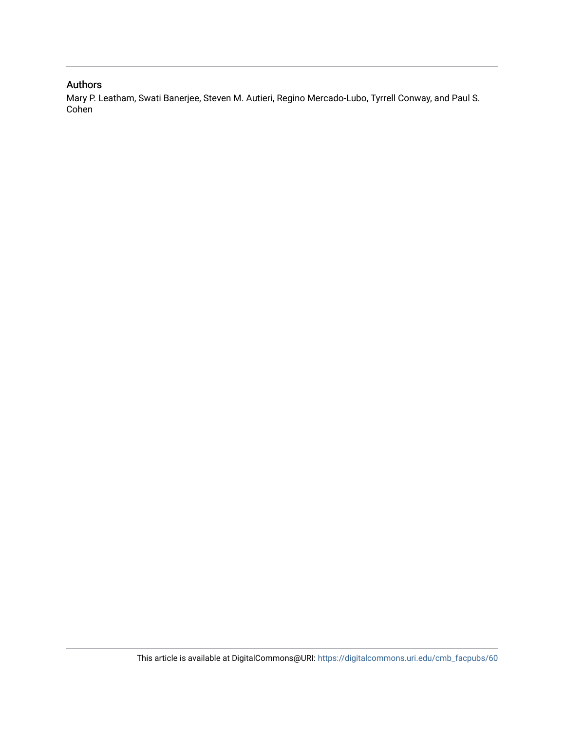### Authors

Mary P. Leatham, Swati Banerjee, Steven M. Autieri, Regino Mercado-Lubo, Tyrrell Conway, and Paul S. Cohen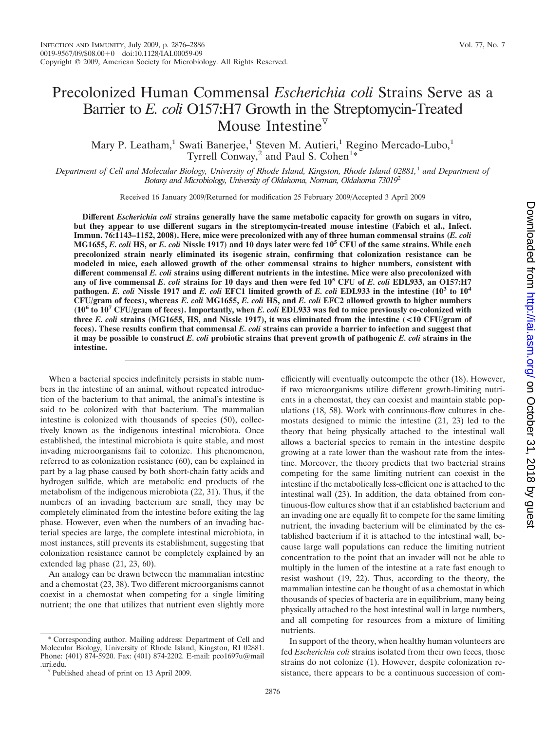## Precolonized Human Commensal *Escherichia coli* Strains Serve as a Barrier to *E. coli* O157:H7 Growth in the Streptomycin-Treated Mouse Intestine $\nabla$

Mary P. Leatham,<sup>1</sup> Swati Banerjee,<sup>1</sup> Steven M. Autieri,<sup>1</sup> Regino Mercado-Lubo,<sup>1</sup> Tyrrell Conway,<sup>2</sup> and Paul S. Cohen<sup>1\*</sup>

*Department of Cell and Molecular Biology, University of Rhode Island, Kingston, Rhode Island 02881,*<sup>1</sup> *and Department of Botany and Microbiology, University of Oklahoma, Norman, Oklahoma 73019*<sup>2</sup>

Received 16 January 2009/Returned for modification 25 February 2009/Accepted 3 April 2009

**Different** *Escherichia coli* **strains generally have the same metabolic capacity for growth on sugars in vitro, but they appear to use different sugars in the streptomycin-treated mouse intestine (Fabich et al., Infect. Immun. 76:1143–1152, 2008). Here, mice were precolonized with any of three human commensal strains (***E. coli* **MG1655,** *E. coli* **HS, or** *E. coli* **Nissle 1917) and 10 days later were fed 105 CFU of the same strains. While each precolonized strain nearly eliminated its isogenic strain, confirming that colonization resistance can be modeled in mice, each allowed growth of the other commensal strains to higher numbers, consistent with different commensal** *E. coli* **strains using different nutrients in the intestine. Mice were also precolonized with any of five commensal** *E. coli* **strains for 10 days and then were fed 105 CFU of** *E. coli* **EDL933, an O157:H7 pathogen.** *E. coli* **Nissle 1917 and** *E. coli* **EFC1 limited growth of** *E. coli* **EDL933 in the intestine (103 to 104 CFU/gram of feces), whereas** *E. coli* **MG1655,** *E. coli* **HS, and** *E. coli* **EFC2 allowed growth to higher numbers (106 to 107 CFU/gram of feces). Importantly, when** *E. coli* **EDL933 was fed to mice previously co-colonized with three** *E. coli* **strains (MG1655, HS, and Nissle 1917), it was eliminated from the intestine (<10 CFU/gram of feces). These results confirm that commensal** *E. coli* **strains can provide a barrier to infection and suggest that it may be possible to construct** *E. coli* **probiotic strains that prevent growth of pathogenic** *E. coli* **strains in the intestine.**

When a bacterial species indefinitely persists in stable numbers in the intestine of an animal, without repeated introduction of the bacterium to that animal, the animal's intestine is said to be colonized with that bacterium. The mammalian intestine is colonized with thousands of species (50), collectively known as the indigenous intestinal microbiota. Once established, the intestinal microbiota is quite stable, and most invading microorganisms fail to colonize. This phenomenon, referred to as colonization resistance (60), can be explained in part by a lag phase caused by both short-chain fatty acids and hydrogen sulfide, which are metabolic end products of the metabolism of the indigenous microbiota (22, 31). Thus, if the numbers of an invading bacterium are small, they may be completely eliminated from the intestine before exiting the lag phase. However, even when the numbers of an invading bacterial species are large, the complete intestinal microbiota, in most instances, still prevents its establishment, suggesting that colonization resistance cannot be completely explained by an extended lag phase (21, 23, 60).

An analogy can be drawn between the mammalian intestine and a chemostat (23, 38). Two different microorganisms cannot coexist in a chemostat when competing for a single limiting nutrient; the one that utilizes that nutrient even slightly more

\* Corresponding author. Mailing address: Department of Cell and Molecular Biology, University of Rhode Island, Kingston, RI 02881. Phone: (401) 874-5920. Fax: (401) 874-2202. E-mail: pco1697u@mail

efficiently will eventually outcompete the other (18). However, if two microorganisms utilize different growth-limiting nutrients in a chemostat, they can coexist and maintain stable populations (18, 58). Work with continuous-flow cultures in chemostats designed to mimic the intestine (21, 23) led to the theory that being physically attached to the intestinal wall allows a bacterial species to remain in the intestine despite growing at a rate lower than the washout rate from the intestine. Moreover, the theory predicts that two bacterial strains competing for the same limiting nutrient can coexist in the intestine if the metabolically less-efficient one is attached to the intestinal wall (23). In addition, the data obtained from continuous-flow cultures show that if an established bacterium and an invading one are equally fit to compete for the same limiting nutrient, the invading bacterium will be eliminated by the established bacterium if it is attached to the intestinal wall, because large wall populations can reduce the limiting nutrient concentration to the point that an invader will not be able to multiply in the lumen of the intestine at a rate fast enough to resist washout (19, 22). Thus, according to the theory, the mammalian intestine can be thought of as a chemostat in which thousands of species of bacteria are in equilibrium, many being physically attached to the host intestinal wall in large numbers, and all competing for resources from a mixture of limiting nutrients.

In support of the theory, when healthy human volunteers are fed *Escherichia coli* strains isolated from their own feces, those strains do not colonize (1). However, despite colonization resistance, there appears to be a continuous succession of com-

 $\sqrt[p]{}$  Published ahead of print on 13 April 2009.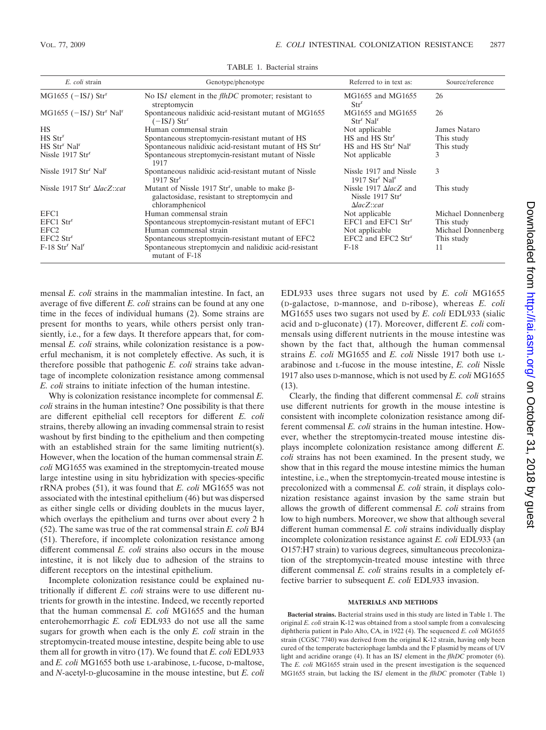| E. coli strain                                       | Genotype/phenotype                                                                                                         | Referred to in text as:                                                                   | Source/reference   |
|------------------------------------------------------|----------------------------------------------------------------------------------------------------------------------------|-------------------------------------------------------------------------------------------|--------------------|
| $MG1655$ ( $-IS1$ ) Str <sup>r</sup>                 | No IS1 element in the <i>flhDC</i> promoter; resistant to<br>streptomycin                                                  | MG1655 and MG1655<br>Str <sup>r</sup>                                                     | 26                 |
| $MG1655$ ( $-S1$ ) Str <sup>r</sup> Nal <sup>r</sup> | Spontaneous nalidixic acid-resistant mutant of MG1655<br>$(-ISI)$ Str <sup>r</sup>                                         | MG1655 and MG1655<br>Str <sup>r</sup> Nal <sup>r</sup>                                    | 26                 |
| <b>HS</b>                                            | Human commensal strain                                                                                                     | Not applicable                                                                            | James Nataro       |
| $HS$ $Strr$                                          | Spontaneous streptomycin-resistant mutant of HS                                                                            | HS and HS Str <sup>r</sup>                                                                | This study         |
| HS Str <sup>r</sup> Nal <sup>r</sup>                 | Spontaneous nalidixic acid-resistant mutant of HS Str <sup>r</sup>                                                         | HS and HS Str <sup>r</sup> Nal <sup>r</sup>                                               | This study         |
| Nissle 1917 Str <sup>r</sup>                         | Spontaneous streptomycin-resistant mutant of Nissle<br>1917                                                                | Not applicable                                                                            | 3                  |
| Nissle 1917 Str <sup>r</sup> Nal <sup>r</sup>        | Spontaneous nalidixic acid-resistant mutant of Nissle<br>$1917$ Str <sup>r</sup>                                           | Nissle 1917 and Nissle<br>1917 Str <sup>r</sup> Nal <sup>r</sup>                          | 3                  |
| Nissle 1917 Str <sup>r</sup> AlacZ::cat              | Mutant of Nissle 1917 $Strr$ , unable to make $\beta$ -<br>galactosidase, resistant to streptomycin and<br>chloramphenicol | Nissle 1917 $\Delta$ lacZ and<br>Nissle $1917$ Str <sup>r</sup><br>$\Delta$ lac $Z$ ::cat | This study         |
| EFC1                                                 | Human commensal strain                                                                                                     | Not applicable                                                                            | Michael Donnenberg |
| $EFC1$ $Strr$                                        | Spontaneous streptomycin-resistant mutant of EFC1                                                                          | EFC1 and EFC1 Str <sup>r</sup>                                                            | This study         |
| EFC <sub>2</sub>                                     | Human commensal strain                                                                                                     | Not applicable                                                                            | Michael Donnenberg |
| EFC2 Str <sup>r</sup>                                | Spontaneous streptomycin-resistant mutant of EFC2                                                                          | EFC2 and EFC2 Str <sup>r</sup>                                                            | This study         |
| F-18 Str <sup>r</sup> Nal <sup>r</sup>               | Spontaneous streptomycin and nalidixic acid-resistant<br>mutant of F-18                                                    | $F-18$                                                                                    | 11                 |

TABLE 1. Bacterial strains

mensal *E. coli* strains in the mammalian intestine. In fact, an average of five different *E. coli* strains can be found at any one time in the feces of individual humans (2). Some strains are present for months to years, while others persist only transiently, i.e., for a few days. It therefore appears that, for commensal *E. coli* strains, while colonization resistance is a powerful mechanism, it is not completely effective. As such, it is therefore possible that pathogenic *E. coli* strains take advantage of incomplete colonization resistance among commensal *E. coli* strains to initiate infection of the human intestine.

Why is colonization resistance incomplete for commensal *E. coli* strains in the human intestine? One possibility is that there are different epithelial cell receptors for different *E. coli* strains, thereby allowing an invading commensal strain to resist washout by first binding to the epithelium and then competing with an established strain for the same limiting nutrient(s). However, when the location of the human commensal strain *E. coli* MG1655 was examined in the streptomycin-treated mouse large intestine using in situ hybridization with species-specific rRNA probes (51), it was found that *E. coli* MG1655 was not associated with the intestinal epithelium (46) but was dispersed as either single cells or dividing doublets in the mucus layer, which overlays the epithelium and turns over about every 2 h (52). The same was true of the rat commensal strain *E. coli* BJ4 (51). Therefore, if incomplete colonization resistance among different commensal *E. coli* strains also occurs in the mouse intestine, it is not likely due to adhesion of the strains to different receptors on the intestinal epithelium.

Incomplete colonization resistance could be explained nutritionally if different *E. coli* strains were to use different nutrients for growth in the intestine. Indeed, we recently reported that the human commensal *E. coli* MG1655 and the human enterohemorrhagic *E. coli* EDL933 do not use all the same sugars for growth when each is the only *E. coli* strain in the streptomycin-treated mouse intestine, despite being able to use them all for growth in vitro (17). We found that *E. coli* EDL933 and *E. coli* MG1655 both use L-arabinose, L-fucose, D-maltose, and *N*-acetyl-D-glucosamine in the mouse intestine, but *E. coli*

EDL933 uses three sugars not used by *E. coli* MG1655 (D-galactose, D-mannose, and D-ribose), whereas *E. coli* MG1655 uses two sugars not used by *E. coli* EDL933 (sialic acid and D-gluconate) (17). Moreover, different *E. coli* commensals using different nutrients in the mouse intestine was shown by the fact that, although the human commensal strains *E. coli* MG1655 and *E. coli* Nissle 1917 both use Larabinose and L-fucose in the mouse intestine, *E. coli* Nissle 1917 also uses D-mannose, which is not used by *E. coli* MG1655 (13).

Clearly, the finding that different commensal *E. coli* strains use different nutrients for growth in the mouse intestine is consistent with incomplete colonization resistance among different commensal *E. coli* strains in the human intestine. However, whether the streptomycin-treated mouse intestine displays incomplete colonization resistance among different *E. coli* strains has not been examined. In the present study, we show that in this regard the mouse intestine mimics the human intestine, i.e., when the streptomycin-treated mouse intestine is precolonized with a commensal *E. coli* strain, it displays colonization resistance against invasion by the same strain but allows the growth of different commensal *E. coli* strains from low to high numbers. Moreover, we show that although several different human commensal *E. coli* strains individually display incomplete colonization resistance against *E. coli* EDL933 (an O157:H7 strain) to various degrees, simultaneous precolonization of the streptomycin-treated mouse intestine with three different commensal *E. coli* strains results in a completely effective barrier to subsequent *E. coli* EDL933 invasion.

#### **MATERIALS AND METHODS**

**Bacterial strains.** Bacterial strains used in this study are listed in Table 1. The original *E. coli* strain K-12 was obtained from a stool sample from a convalescing diphtheria patient in Palo Alto, CA, in 1922 (4). The sequenced *E. coli* MG1655 strain (CGSC 7740) was derived from the original K-12 strain, having only been cured of the temperate bacteriophage lambda and the F plasmid by means of UV light and acridine orange (4). It has an IS*1* element in the *flhDC* promoter (6). The *E. coli* MG1655 strain used in the present investigation is the sequenced MG1655 strain, but lacking the IS*1* element in the *flhDC* promoter (Table 1)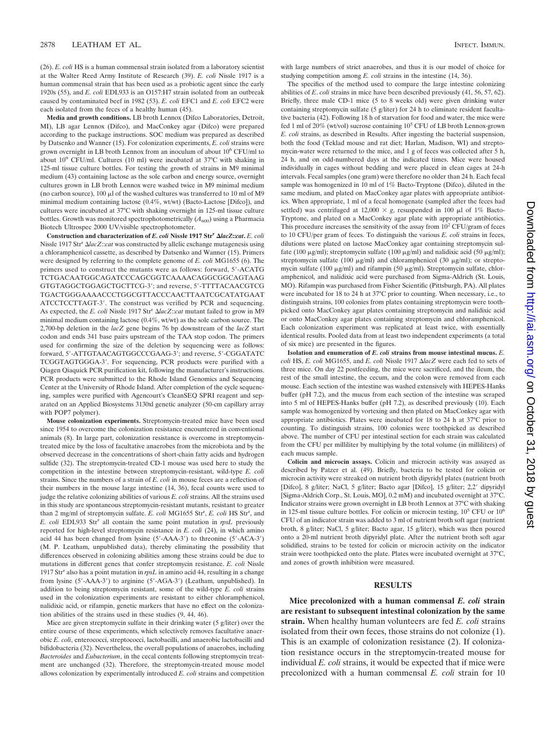(26). *E. coli* HS is a human commensal strain isolated from a laboratory scientist at the Walter Reed Army Institute of Research (39). *E. coli* Nissle 1917 is a human commensal strain that has been used as a probiotic agent since the early 1920s (55), and *E. coli* EDL933 is an O157:H7 strain isolated from an outbreak caused by contaminated beef in 1982 (53). *E. coli* EFC1 and *E. coli* EFC2 were each isolated from the feces of a healthy human (45).

**Media and growth conditions.** LB broth Lennox (Difco Laboratories, Detroit, MI), LB agar Lennox (Difco), and MacConkey agar (Difco) were prepared according to the package instructions. SOC medium was prepared as described by Datsenko and Wanner (15). For colonization experiments, *E. coli* strains were grown overnight in LB broth Lennox from an inoculum of about 10<sup>6</sup> CFU/ml to about 10<sup>9</sup> CFU/ml. Cultures (10 ml) were incubated at 37°C with shaking in 125-ml tissue culture bottles. For testing the growth of strains in M9 minimal medium (43) containing lactose as the sole carbon and energy source, overnight cultures grown in LB broth Lennox were washed twice in M9 minimal medium (no carbon source),  $100 \mu l$  of the washed cultures was transferred to  $10 \text{ ml}$  of M9 minimal medium containing lactose (0.4%, wt/wt) (Bacto-Lactose [Difco]), and cultures were incubated at 37°C with shaking overnight in 125-ml tissue culture bottles. Growth was monitored spectrophotometrically  $(A_{600})$  using a Pharmacia Biotech Ultrospec 2000 UV/visible spectrophotometer.

**Construction and characterization of** *E. coli* **Nissle 1917 Str<sup>r</sup>** *lacZ***::***cat***.** *E. coli* Nissle 1917 Str<sup>r</sup> *lacZ*::*cat* was constructed by allelic exchange mutagenesis using a chloramphenicol cassette, as described by Datsenko and Wanner (15). Primers were designed by referring to the complete genome of *E. coli* MG1655 (6). The primers used to construct the mutants were as follows: forward, 5-ACATG TCTGACAATGGCAGATCCCAGCGGTCAAAACAGGCGGCAGTAAG GTGTAGGCTGGAGCTGCTTCG-3; and reverse, 5-TTTTACAACGTCG TGACTGGGAAAACCCTGGCGTTACCCAACTTAATCGCATATGAAT ATCCTCCTTAGT-3'. The construct was verified by PCR and sequencing. As expected, the *E. coli* Nissle 1917 Str<sup>r</sup>  $\Delta$ lacZ::*cat* mutant failed to grow in M9 minimal medium containing lactose (0.4%, wt/wt) as the sole carbon source. The 2,700-bp deletion in the *lacZ* gene begins 76 bp downstream of the *lacZ* start codon and ends 341 base pairs upstream of the TAA stop codon. The primers used for confirming the size of the deletion by sequencing were as follows: forward, 5'-ATTGTAACAGTGGCCCGAAG-3': and reverse, 5'-CGGATATC TCGGTAGTGGGA-3'. For sequencing, PCR products were purified with a Qiagen Qiaquick PCR purification kit, following the manufacturer's instructions. PCR products were submitted to the Rhode Island Genomics and Sequencing Center at the University of Rhode Island. After completion of the cycle sequencing, samples were purified with Agencourt's CleanSEQ SPRI reagent and separated on an Applied Biosystems 3130xl genetic analyzer (50-cm capillary array with POP7 polymer).

**Mouse colonization experiments.** Streptomycin-treated mice have been used since 1954 to overcome the colonization resistance encountered in conventional animals (8). In large part, colonization resistance is overcome in streptomycintreated mice by the loss of facultative anaerobes from the microbiota and by the observed decrease in the concentrations of short-chain fatty acids and hydrogen sulfide (32). The streptomycin-treated CD-1 mouse was used here to study the competition in the intestine between streptomycin-resistant, wild-type *E. coli* strains. Since the numbers of a strain of *E. coli* in mouse feces are a reflection of their numbers in the mouse large intestine (14, 36), fecal counts were used to judge the relative colonizing abilities of various *E. coli* strains. All the strains used in this study are spontaneous streptomycin-resistant mutants, resistant to greater than 2 mg/ml of streptomycin sulfate. E. coli MG1655 Str<sup>r</sup>, E. coli HS Str<sup>r</sup>, and *E. coli* EDL933 Str<sup>r</sup> all contain the same point mutation in *rpsL* previously reported for high-level streptomycin resistance in *E. coli* (24), in which amino acid 44 has been changed from lysine (5-AAA-3) to threonine (5-ACA-3) (M. P. Leatham, unpublished data), thereby eliminating the possibility that differences observed in colonizing abilities among these strains could be due to mutations in different genes that confer streptomycin resistance. *E. coli* Nissle 1917 Strr also has a point mutation in *rpsL* in amino acid 44, resulting in a change from lysine (5'-AAA-3') to arginine (5'-AGA-3') (Leatham, unpublished). In addition to being streptomycin resistant, some of the wild-type *E. coli* strains used in the colonization experiments are resistant to either chloramphenicol, nalidixic acid, or rifampin, genetic markers that have no effect on the colonization abilities of the strains used in these studies (9, 44, 46).

Mice are given streptomycin sulfate in their drinking water (5 g/liter) over the entire course of these experiments, which selectively removes facultative anaerobic *E. coli*, enterococci, streptococci, lactobacilli, and anaerobic lactobacilli and bifidobacteria (32). Nevertheless, the overall populations of anaerobes, including *Bacteroides* and *Eubacterium*, in the cecal contents following streptomycin treatment are unchanged (32). Therefore, the streptomycin-treated mouse model allows colonization by experimentally introduced *E. coli* strains and competition

with large numbers of strict anaerobes, and thus it is our model of choice for studying competition among *E. coli* strains in the intestine (14, 36).

The specifics of the method used to compare the large intestine colonizing abilities of *E*. *coli* strains in mice have been described previously (41, 56, 57, 62). Briefly, three male CD-1 mice (5 to 8 weeks old) were given drinking water containing streptomycin sulfate (5 g/liter) for 24 h to eliminate resident facultative bacteria (42). Following 18 h of starvation for food and water, the mice were fed 1 ml of 20% (wt/vol) sucrose containing 10<sup>5</sup> CFU of LB broth Lennox-grown *E. coli* strains, as described in Results. After ingesting the bacterial suspension, both the food (Teklad mouse and rat diet; Harlan, Madison, WI) and streptomycin-water were returned to the mice, and 1 g of feces was collected after 5 h, 24 h, and on odd-numbered days at the indicated times. Mice were housed individually in cages without bedding and were placed in clean cages at 24-h intervals. Fecal samples (one gram) were therefore no older than 24 h. Each fecal sample was homogenized in 10 ml of 1% Bacto-Tryptone (Difco), diluted in the same medium, and plated on MacConkey agar plates with appropriate antibiotics. When appropriate, 1 ml of a fecal homogenate (sampled after the feces had settled) was centrifuged at 12,000  $\times$  g, resuspended in 100  $\mu$ l of 1% Bacto-Tryptone, and plated on a MacConkey agar plate with appropriate antibiotics. This procedure increases the sensitivity of the assay from  $10^2$  CFU/gram of feces to 10 CFU/per gram of feces. To distinguish the various *E. coli* strains in feces, dilutions were plated on lactose MacConkey agar containing streptomycin sulfate (100  $\mu$ g/ml); streptomycin sulfate (100  $\mu$ g/ml) and nalidixic acid (50  $\mu$ g/ml); streptomycin sulfate (100  $\mu$ g/ml) and chloramphenicol (30  $\mu$ g/ml); or streptomycin sulfate (100  $\mu$ g/ml) and rifampin (50  $\mu$ g/ml). Streptomycin sulfate, chloramphenicol, and nalidixic acid were purchased from Sigma-Aldrich (St. Louis, MO). Rifampin was purchased from Fisher Scientific (Pittsburgh, PA). All plates were incubated for 18 to 24 h at 37°C prior to counting. When necessary, i.e., to distinguish strains, 100 colonies from plates containing streptomycin were toothpicked onto MacConkey agar plates containing streptomycin and nalidixic acid or onto MacConkey agar plates containing streptomycin and chloramphenicol. Each colonization experiment was replicated at least twice, with essentially identical results. Pooled data from at least two independent experiments (a total of six mice) are presented in the figures.

**Isolation and enumeration of** *E. coli* **strains from mouse intestinal mucus.** *E. coli* HS, *E. coli* MG1655, and *E. coli* Nissle 1917 *lacZ* were each fed to sets of three mice. On day 22 postfeeding, the mice were sacrificed, and the ileum, the rest of the small intestine, the cecum, and the colon were removed from each mouse. Each section of the intestine was washed extensively with HEPES-Hanks buffer (pH 7.2), and the mucus from each section of the intestine was scraped into 5 ml of HEPES-Hanks buffer (pH 7.2), as described previously (10). Each sample was homogenized by vortexing and then plated on MacConkey agar with appropriate antibiotics. Plates were incubated for 18 to 24 h at 37°C prior to counting. To distinguish strains, 100 colonies were toothpicked as described above. The number of CFU per intestinal section for each strain was calculated from the CFU per milliliter by multiplying by the total volume (in milliliters) of each mucus sample.

**Colicin and microcin assays.** Colicin and microcin activity was assayed as described by Patzer et al. (49). Briefly, bacteria to be tested for colicin or microcin activity were streaked on nutrient broth dipyridyl plates (nutrient broth [Difco], 8 g/liter; NaCl, 5 g/liter; Bacto agar [Difco], 15 g/liter; 2,2 dipyridyl [Sigma-Aldrich Corp., St. Louis, MO], 0.2 mM) and incubated overnight at 37°C. Indicator strains were grown overnight in LB broth Lennox at 37°C with shaking in 125-ml tissue culture bottles. For colicin or microcin testing,  $10^5$  CFU or  $10^6$ CFU of an indicator strain was added to 3 ml of nutrient broth soft agar (nutrient broth, 8 g/liter; NaCl, 5 g/liter; Bacto agar, 15 g/liter), which was then poured onto a 20-ml nutrient broth dipyridyl plate. After the nutrient broth soft agar solidified, strains to be tested for colicin or microcin activity on the indicator strain were toothpicked onto the plate. Plates were incubated overnight at 37°C, and zones of growth inhibition were measured.

#### **RESULTS**

**Mice precolonized with a human commensal** *E. coli* **strain are resistant to subsequent intestinal colonization by the same strain.** When healthy human volunteers are fed *E. coli* strains isolated from their own feces, those strains do not colonize (1). This is an example of colonization resistance (2). If colonization resistance occurs in the streptomycin-treated mouse for individual *E. coli* strains, it would be expected that if mice were precolonized with a human commensal *E. coli* strain for 10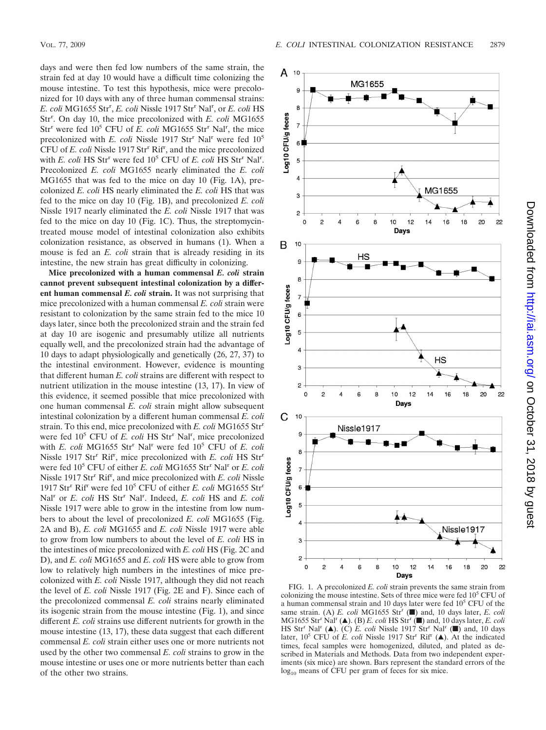days and were then fed low numbers of the same strain, the strain fed at day 10 would have a difficult time colonizing the mouse intestine. To test this hypothesis, mice were precolonized for 10 days with any of three human commensal strains: *E. coli* MG1655 Strr , *E. coli* Nissle 1917 Strr Nalr , or *E. coli* HS Str<sup>r</sup>. On day 10, the mice precolonized with *E. coli* MG1655 Str<sup>r</sup> were fed 10<sup>5</sup> CFU of *E. coli* MG1655 Str<sup>r</sup> Nal<sup>r</sup>, the mice precolonized with *E. coli* Nissle 1917 Str<sup>r</sup> Nal<sup>r</sup> were fed 10<sup>5</sup> CFU of *E. coli* Nissle 1917 Str<sup>r</sup> Rif<sup>r</sup>, and the mice precolonized with *E. coli* HS Str<sup>r</sup> were fed 10<sup>5</sup> CFU of *E. coli* HS Str<sup>r</sup> Nal<sup>r</sup>. Precolonized *E. coli* MG1655 nearly eliminated the *E. coli* MG1655 that was fed to the mice on day 10 (Fig. 1A), precolonized *E. coli* HS nearly eliminated the *E. coli* HS that was fed to the mice on day 10 (Fig. 1B), and precolonized *E. coli* Nissle 1917 nearly eliminated the *E. coli* Nissle 1917 that was fed to the mice on day 10 (Fig. 1C). Thus, the streptomycintreated mouse model of intestinal colonization also exhibits colonization resistance, as observed in humans (1). When a mouse is fed an *E. coli* strain that is already residing in its

intestine, the new strain has great difficulty in colonizing. **Mice precolonized with a human commensal** *E. coli* **strain cannot prevent subsequent intestinal colonization by a different human commensal** *E. coli* **strain.** It was not surprising that mice precolonized with a human commensal *E. coli* strain were resistant to colonization by the same strain fed to the mice 10 days later, since both the precolonized strain and the strain fed at day 10 are isogenic and presumably utilize all nutrients equally well, and the precolonized strain had the advantage of 10 days to adapt physiologically and genetically (26, 27, 37) to the intestinal environment. However, evidence is mounting that different human *E. coli* strains are different with respect to nutrient utilization in the mouse intestine (13, 17). In view of this evidence, it seemed possible that mice precolonized with one human commensal *E. coli* strain might allow subsequent intestinal colonization by a different human commensal *E. coli* strain. To this end, mice precolonized with *E. coli* MG1655 Strr were fed 10<sup>5</sup> CFU of *E. coli* HS Str<sup>r</sup> Nal<sup>r</sup>, mice precolonized with *E. coli* MG1655 Str<sup>r</sup> Nal<sup>r</sup> were fed 10<sup>5</sup> CFU of *E. coli* Nissle 1917 Str<sup>r</sup> Rif<sup>r</sup>, mice precolonized with *E. coli* HS Str<sup>r</sup> were fed 10<sup>5</sup> CFU of either *E. coli* MG1655 Str<sup>r</sup> Nal<sup>r</sup> or *E. coli* Nissle 1917 Str<sup>r</sup> Rif<sup>r</sup>, and mice precolonized with *E. coli* Nissle 1917 Strr Rifr were fed 105 CFU of either *E. coli* MG1655 Strr Nal<sup>r</sup> or *E. coli* HS Str<sup>r</sup> Nal<sup>r</sup>. Indeed, *E. coli* HS and *E. coli* Nissle 1917 were able to grow in the intestine from low numbers to about the level of precolonized *E. coli* MG1655 (Fig. 2A and B), *E. coli* MG1655 and *E. coli* Nissle 1917 were able to grow from low numbers to about the level of *E. coli* HS in the intestines of mice precolonized with *E. coli* HS (Fig. 2C and D), and *E. coli* MG1655 and *E. coli* HS were able to grow from low to relatively high numbers in the intestines of mice precolonized with *E. coli* Nissle 1917, although they did not reach the level of *E. coli* Nissle 1917 (Fig. 2E and F). Since each of the precolonized commensal *E. coli* strains nearly eliminated its isogenic strain from the mouse intestine (Fig. 1), and since different *E. coli* strains use different nutrients for growth in the mouse intestine (13, 17), these data suggest that each different commensal *E. coli* strain either uses one or more nutrients not used by the other two commensal *E. coli* strains to grow in the mouse intestine or uses one or more nutrients better than each of the other two strains.



FIG. 1. A precolonized *E. coli* strain prevents the same strain from colonizing the mouse intestine. Sets of three mice were fed  $10<sup>5</sup>$  CFU of a human commensal strain and 10 days later were fed 10<sup>5</sup> CFU of the same strain. (A) *E. coli* MG1655 Str<sup>r</sup> (a) and, 10 days later, *E. coli* MG1655 Str<sup>r</sup> Nal<sup>r</sup> ( $\blacktriangle$ ). (B) *E. coli* HS Str<sup>r</sup> ( $\blacksquare$ ) and, 10 days later, *E. coli* HS Str<sup>r</sup> Nal<sup>r</sup> ( $\blacktriangle$ ). (C) *E. coli* Nissle 1917 Str<sup>r</sup> Nal<sup>r</sup> ( $\blacksquare$ ) and, 10 days later,  $10^5$  CFU of *E. coli* Nissle 1917 Str<sup>r</sup> Rif<sup>r</sup> ( $\triangle$ ). At the indicated times, fecal samples were homogenized, diluted, and plated as described in Materials and Methods. Data from two independent experiments (six mice) are shown. Bars represent the standard errors of the  $log_{10}$  means of CFU per gram of feces for six mice.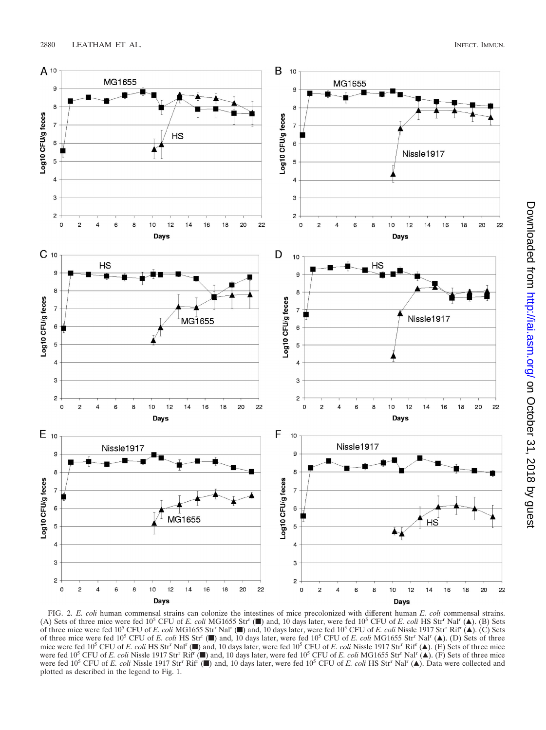

FIG. 2. *E. coli* human commensal strains can colonize the intestines of mice precolonized with different human *E. coli* commensal strains. (A) Sets of three mice were fed 10<sup>5</sup> CFU of *E. coli* MG1655 Str<sup>r</sup> ( $\blacksquare$ ) and, 10 days later, were fed 10<sup>5</sup> CFU of *E. coli* HS Str<sup>r</sup> Nal<sup>r</sup> ( $\blacktriangle$ ). (B) Sets of three mice were fed 105 CFU of *E. coli* MG1655 Strr Nalr (f) and, 10 days later, were fed 105 CFU of *E. coli* Nissle 1917 Strr Rifr (Œ). (C) Sets of three mice were fed 10<sup>5</sup> CFU of *E. coli* HS Str<sup>r</sup> (■) and, 10 days later, were fed 10<sup>5</sup> CFU of *E. coli* MG1655 Str<sup>r</sup> Nal<sup>r</sup> (▲). (D) Sets of three mice were fed 10<sup>5</sup> CFU of *E. coli* HS Str<sup>r</sup> Nal<sup>r</sup> ( $\blacksquare$ ) and, 10 days later, were fed 10<sup>5</sup> CFU of *E. coli* Nissle 1917 Str<sup>r</sup> Rif<sup>r</sup> ( $\blacktriangle$ ). (E) Sets of three mice were fed 10<sup>5</sup> CFU of *E. coli* Nissle 1917 Str<sup>r</sup> Rifr ( $\blacksquare$ ) and, 10 days later, were fed 10<sup>5</sup> CFU of *E. coli* MG1655 Str<sup>r</sup> Nal<sup>r</sup> ( $\blacktriangle$ ). (F) Sets of three mice were fed 10<sup>5</sup> CFU of *E. coli* Nissle 1917 Str<sup>r</sup> Rif<sup>r</sup> ( $\blacksquare$ ) and, 10 days later, were fed 10<sup>5</sup> CFU of *E. coli* HS Str<sup>r</sup> Nal<sup>r</sup> ( $\blacktriangle$ ). Data were collected and plotted as described in the legend to Fig. 1.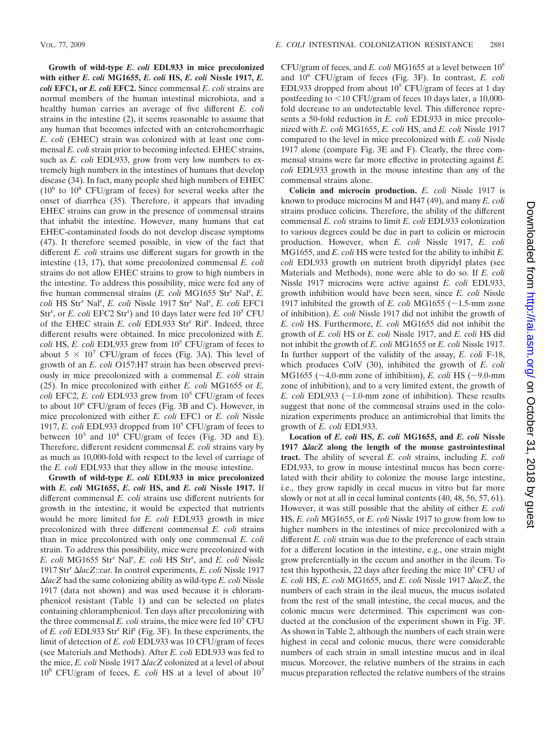**Growth of wild-type** *E. coli* **EDL933 in mice precolonized with either** *E. coli* **MG1655,** *E. coli* **HS,** *E. coli* **Nissle 1917,** *E. coli* **EFC1, or** *E. coli* **EFC2.** Since commensal *E. coli* strains are normal members of the human intestinal microbiota, and a healthy human carries an average of five different *E. coli* strains in the intestine (2), it seems reasonable to assume that any human that becomes infected with an enterohemorrhagic *E. coli* (EHEC) strain was colonized with at least one commensal *E. coli* strain prior to becoming infected. EHEC strains, such as *E. coli* EDL933, grow from very low numbers to extremely high numbers in the intestines of humans that develop disease (34). In fact, many people shed high numbers of EHEC  $(10^6$  to  $10^8$  CFU/gram of feces) for several weeks after the onset of diarrhea (35). Therefore, it appears that invading EHEC strains can grow in the presence of commensal strains that inhabit the intestine. However, many humans that eat EHEC-contaminated foods do not develop disease symptoms (47). It therefore seemed possible, in view of the fact that different *E. coli* strains use different sugars for growth in the intestine (13, 17), that some precolonized commensal *E. coli* strains do not allow EHEC strains to grow to high numbers in the intestine. To address this possibility, mice were fed any of five human commensal strains (*E. coli* MG1655 Str<sup>r</sup> Nal<sup>r</sup>, *E. coli* HS Strr Nalr , *E. coli* Nissle 1917 Strr Nalr , *E. coli* EFC1 Str<sup>r</sup>, or *E. coli* EFC2 Str<sup>r</sup>) and 10 days later were fed 10<sup>5</sup> CFU of the EHEC strain *E. coli* EDL933 Str<sup>r</sup> Rif<sup>r</sup>. Indeed, three different results were obtained. In mice precolonized with *E. coli* HS, *E. coli* EDL933 grew from 105 CFU/gram of feces to about 5  $\times$  10<sup>7</sup> CFU/gram of feces (Fig. 3A). This level of growth of an *E. coli* O157:H7 strain has been observed previously in mice precolonized with a commensal *E. coli* strain (25). In mice precolonized with either *E. coli* MG1655 or *E. coli* EFC2, *E. coli* EDL933 grew from  $10^5$  CFU/gram of feces to about  $10^6$  CFU/gram of feces (Fig. 3B and C). However, in mice precolonized with either *E. coli* EFC1 or *E. coli* Nissle 1917, *E. coli* EDL933 dropped from 105 CFU/gram of feces to between  $10^3$  and  $10^4$  CFU/gram of feces (Fig. 3D and E). Therefore, different resident commensal *E. coli* strains vary by as much as 10,000-fold with respect to the level of carriage of the *E. coli* EDL933 that they allow in the mouse intestine.

**Growth of wild-type** *E. coli* **EDL933 in mice precolonized with** *E. coli* **MG1655,** *E. coli* **HS, and** *E. coli* **Nissle 1917.** If different commensal *E. coli* strains use different nutrients for growth in the intestine, it would be expected that nutrients would be more limited for *E. coli* EDL933 growth in mice precolonized with three different commensal *E. coli* strains than in mice precolonized with only one commensal *E. coli* strain. To address this possibility, mice were precolonized with *E. coli* MG1655 Strr Nalr , *E. coli* HS Strr , and *E. coli* Nissle 1917 Strr *lacZ*::*cat*. In control experiments, *E. coli* Nissle 1917 *lacZ* had the same colonizing ability as wild-type *E. coli* Nissle 1917 (data not shown) and was used because it is chloramphenicol resistant (Table 1) and can be selected on plates containing chloramphenicol. Ten days after precolonizing with the three commensal  $E.$  *coli* strains, the mice were fed  $10<sup>5</sup>$  CFU of *E. coli* EDL933 Str<sup>r</sup> Rif<sup>r</sup> (Fig. 3F). In these experiments, the limit of detection of *E. coli* EDL933 was 10 CFU/gram of feces (see Materials and Methods). After *E. coli* EDL933 was fed to the mice, *E. coli* Nissle 1917 Δ*lac*Z colonized at a level of about 108 CFU/gram of feces, *E. coli* HS at a level of about 107

CFU/gram of feces, and *E. coli* MG1655 at a level between 105 and 106 CFU/gram of feces (Fig. 3F). In contrast, *E. coli* EDL933 dropped from about  $10^5$  CFU/gram of feces at 1 day postfeeding to  $\leq$ 10 CFU/gram of feces 10 days later, a 10,000fold decrease to an undetectable level. This difference represents a 50-fold reduction in *E. coli* EDL933 in mice precolonized with *E. coli* MG1655, *E. coli* HS, and *E. coli* Nissle 1917 compared to the level in mice precolonized with *E. coli* Nissle 1917 alone (compare Fig. 3E and F). Clearly, the three commensal strains were far more effective in protecting against *E. coli* EDL933 growth in the mouse intestine than any of the commensal strains alone.

**Colicin and microcin production.** *E. coli* Nissle 1917 is known to produce microcins M and H47 (49), and many *E. coli* strains produce colicins. Therefore, the ability of the different commensal *E. coli* strains to limit *E. coli* EDL933 colonization to various degrees could be due in part to colicin or microcin production. However, when *E. coli* Nissle 1917, *E. coli* MG1655, and *E. coli* HS were tested for the ability to inhibit *E. coli* EDL933 growth on nutrient broth dipyridyl plates (see Materials and Methods), none were able to do so. If *E. coli* Nissle 1917 microcins were active against *E. coli* EDL933, growth inhibition would have been seen, since *E. coli* Nissle 1917 inhibited the growth of *E. coli* MG1655 ( $\sim$ 1.5-mm zone of inhibition). *E. coli* Nissle 1917 did not inhibit the growth of *E. coli* HS. Furthermore, *E. coli* MG1655 did not inhibit the growth of *E. coli* HS or *E. coli* Nissle 1917, and *E. coli* HS did not inhibit the growth of *E. coli* MG1655 or *E. coli* Nissle 1917. In further support of the validity of the assay, *E. coli* F-18, which produces ColV (30), inhibited the growth of *E. coli* MG1655 ( $\sim$ 4.0-mm zone of inhibition), *E. coli* HS ( $\sim$ 9.0-mm zone of inhibition), and to a very limited extent, the growth of *E. coli* EDL933 ( $\sim$ 1.0-mm zone of inhibition). These results suggest that none of the commensal strains used in the colonization experiments produce an antimicrobial that limits the growth of *E. coli* EDL933.

**Location of** *E. coli* **HS,** *E. coli* **MG1655, and** *E. coli* **Nissle 1917** *lacZ* **along the length of the mouse gastrointestinal tract.** The ability of several *E. coli* strains, including *E. coli* EDL933, to grow in mouse intestinal mucus has been correlated with their ability to colonize the mouse large intestine, i.e., they grow rapidly in cecal mucus in vitro but far more slowly or not at all in cecal luminal contents (40, 48, 56, 57, 61). However, it was still possible that the ability of either *E. coli* HS, *E. coli* MG1655, or *E. coli* Nissle 1917 to grow from low to higher numbers in the intestines of mice precolonized with a different *E. coli* strain was due to the preference of each strain for a different location in the intestine, e.g., one strain might grow preferentially in the cecum and another in the ileum. To test this hypothesis, 22 days after feeding the mice  $10<sup>5</sup>$  CFU of *E. coli* HS, *E. coli* MG1655, and *E. coli* Nissle 1917 *lacZ*, the numbers of each strain in the ileal mucus, the mucus isolated from the rest of the small intestine, the cecal mucus, and the colonic mucus were determined. This experiment was conducted at the conclusion of the experiment shown in Fig. 3F. As shown in Table 2, although the numbers of each strain were highest in cecal and colonic mucus, there were considerable numbers of each strain in small intestine mucus and in ileal mucus. Moreover, the relative numbers of the strains in each mucus preparation reflected the relative numbers of the strains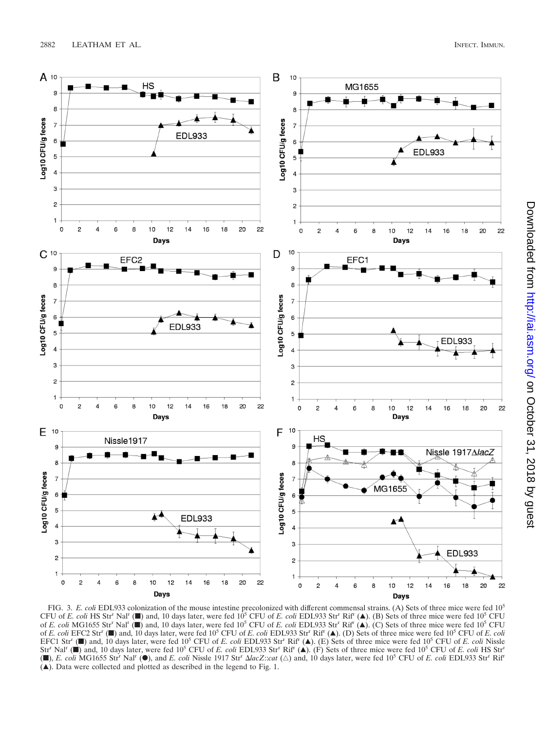

FIG. 3. *E. coli* EDL933 colonization of the mouse intestine precolonized with different commensal strains. (A) Sets of three mice were fed 10<sup>5</sup> CFU of *E. coli* HS Str<sup>r</sup> Nal<sup>r</sup> ( $\blacksquare$ ) and, 10 days later, were fed 10<sup>5</sup> CFU of *E. coli* EDL933 Str<sup>r</sup> Rif<sup>r</sup> ( $\blacktriangle$ ). (B) Sets of three mice were fed 10<sup>5</sup> CFU of *E. coli* MG1655 Strr Nalr (f) and, 10 days later, were fed 10<sup>5</sup> CFU of *E. coli* EDL933 Strr Rifr (Œ). (C) Sets of three mice were fed 10<sup>5</sup> CFU of *E. coli* EFC2 Strr (f) and, 10 days later, were fed 105 CFU of *E. coli* EDL933 Strr Rifr (Œ). (D) Sets of three mice were fed 105 CFU of *E. coli* EFC1 Str<sup>r</sup> ( $\blacksquare$ ) and, 10 days later, were fed 10<sup>5</sup> CFU of *E. coli* EDL933 Str<sup>r</sup> Rif<sup>r</sup> ( $\blacktriangle$ ). (E) Sets of three mice were fed 10<sup>5</sup> CFU of *E. coli* Nissle Str<sup>r</sup> Nal<sup>r</sup> ( $\blacksquare$ ) and, 10 days later, were fed 10<sup>5</sup> CFU of *E. coli* EDL933 Str<sup>r</sup> Rif<sup>r</sup> ( $\blacktriangle$ ). (F) Sets of three mice were fed 10<sup>5</sup> CFU of *E. coli* HS Str<sup>r</sup> ( $\blacksquare$ ), *E. coli* MG1655 Str<sup>r</sup> Nal<sup>r</sup> ( $\blacksquare$ ), and *E. coli* Nissle 1917 Str<sup>r</sup>  $\Delta lacZ::cat$  ( $\triangle$ ) and, 10 days later, were fed 10<sup>5</sup> CFU of *E. coli* EDL933 Str<sup>r</sup> Rif<sup>r</sup>  $(\triangle)$ . Data were collected and plotted as described in the legend to Fig. 1.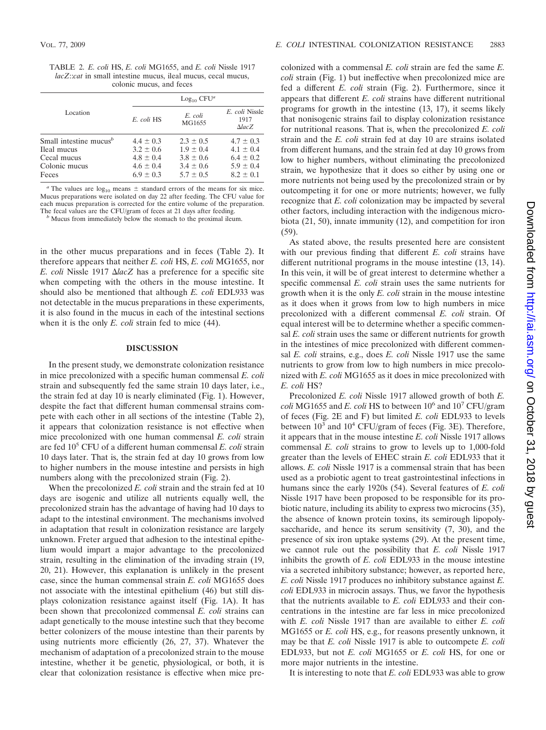TABLE 2. *E. coli* HS, *E. coli* MG1655, and *E. coli* Nissle 1917 *lacZ*::*cat* in small intestine mucus, ileal mucus, cecal mucus, colonic mucus, and feces

|                                                                                   | $Log_{10}$ CFU <sup>a</sup>                                                       |                                                                                   |
|-----------------------------------------------------------------------------------|-----------------------------------------------------------------------------------|-----------------------------------------------------------------------------------|
| E. coli HS                                                                        | E. coli<br>MG1655                                                                 | E. coli Nissle<br>1917<br>$\Delta$ lac $Z$                                        |
| $4.4 \pm 0.3$<br>$3.2 \pm 0.6$<br>$4.8 \pm 0.4$<br>$4.6 \pm 0.4$<br>$6.9 \pm 0.3$ | $2.3 \pm 0.5$<br>$1.9 \pm 0.4$<br>$3.8 \pm 0.6$<br>$3.4 \pm 0.6$<br>$5.7 \pm 0.5$ | $4.7 \pm 0.3$<br>$4.1 \pm 0.4$<br>$6.4 \pm 0.2$<br>$5.9 \pm 0.4$<br>$8.2 \pm 0.1$ |
|                                                                                   |                                                                                   |                                                                                   |

 $a$ <sup>a</sup> The values are  $log_{10}$  means  $\pm$  standard errors of the means for six mice. Mucus preparations were isolated on day 22 after feeding. The CFU value for each mucus preparation is corrected for the entire volume of the preparation.<br>The fecal values are the CFU/gram of feces at 21 days after feeding.

Mucus from immediately below the stomach to the proximal ileum.

in the other mucus preparations and in feces (Table 2). It therefore appears that neither *E. coli* HS, *E. coli* MG1655, nor *E. coli* Nissle 1917 Δ*lacZ* has a preference for a specific site when competing with the others in the mouse intestine. It should also be mentioned that although *E. coli* EDL933 was not detectable in the mucus preparations in these experiments, it is also found in the mucus in each of the intestinal sections when it is the only *E. coli* strain fed to mice (44).

#### **DISCUSSION**

In the present study, we demonstrate colonization resistance in mice precolonized with a specific human commensal *E. coli* strain and subsequently fed the same strain 10 days later, i.e., the strain fed at day 10 is nearly eliminated (Fig. 1). However, despite the fact that different human commensal strains compete with each other in all sections of the intestine (Table 2), it appears that colonization resistance is not effective when mice precolonized with one human commensal *E. coli* strain are fed 105 CFU of a different human commensal *E. coli* strain 10 days later. That is, the strain fed at day 10 grows from low to higher numbers in the mouse intestine and persists in high numbers along with the precolonized strain (Fig. 2).

When the precolonized *E. coli* strain and the strain fed at 10 days are isogenic and utilize all nutrients equally well, the precolonized strain has the advantage of having had 10 days to adapt to the intestinal environment. The mechanisms involved in adaptation that result in colonization resistance are largely unknown. Freter argued that adhesion to the intestinal epithelium would impart a major advantage to the precolonized strain, resulting in the elimination of the invading strain (19, 20, 21). However, this explanation is unlikely in the present case, since the human commensal strain *E. coli* MG1655 does not associate with the intestinal epithelium (46) but still displays colonization resistance against itself (Fig. 1A). It has been shown that precolonized commensal *E. coli* strains can adapt genetically to the mouse intestine such that they become better colonizers of the mouse intestine than their parents by using nutrients more efficiently (26, 27, 37). Whatever the mechanism of adaptation of a precolonized strain to the mouse intestine, whether it be genetic, physiological, or both, it is clear that colonization resistance is effective when mice precolonized with a commensal *E. coli* strain are fed the same *E. coli* strain (Fig. 1) but ineffective when precolonized mice are fed a different *E. coli* strain (Fig. 2). Furthermore, since it appears that different *E. coli* strains have different nutritional programs for growth in the intestine (13, 17), it seems likely that nonisogenic strains fail to display colonization resistance for nutritional reasons. That is, when the precolonized *E. coli* strain and the *E. coli* strain fed at day 10 are strains isolated from different humans, and the strain fed at day 10 grows from low to higher numbers, without eliminating the precolonized strain, we hypothesize that it does so either by using one or more nutrients not being used by the precolonized strain or by outcompeting it for one or more nutrients; however, we fully recognize that *E. coli* colonization may be impacted by several other factors, including interaction with the indigenous microbiota (21, 50), innate immunity (12), and competition for iron (59).

As stated above, the results presented here are consistent with our previous finding that different *E. coli* strains have different nutritional programs in the mouse intestine (13, 14). In this vein, it will be of great interest to determine whether a specific commensal *E. coli* strain uses the same nutrients for growth when it is the only *E. coli* strain in the mouse intestine as it does when it grows from low to high numbers in mice precolonized with a different commensal *E. coli* strain. Of equal interest will be to determine whether a specific commensal *E. coli* strain uses the same or different nutrients for growth in the intestines of mice precolonized with different commensal *E. coli* strains, e.g., does *E. coli* Nissle 1917 use the same nutrients to grow from low to high numbers in mice precolonized with *E. coli* MG1655 as it does in mice precolonized with *E. coli* HS?

Precolonized *E. coli* Nissle 1917 allowed growth of both *E. coli* MG1655 and *E. coli* HS to between  $10^6$  and  $10^7$  CFU/gram of feces (Fig. 2E and F) but limited *E. coli* EDL933 to levels between  $10^3$  and  $10^4$  CFU/gram of feces (Fig. 3E). Therefore, it appears that in the mouse intestine *E. coli* Nissle 1917 allows commensal *E. coli* strains to grow to levels up to 1,000-fold greater than the levels of EHEC strain *E. coli* EDL933 that it allows. *E. coli* Nissle 1917 is a commensal strain that has been used as a probiotic agent to treat gastrointestinal infections in humans since the early 1920s (54). Several features of *E. coli* Nissle 1917 have been proposed to be responsible for its probiotic nature, including its ability to express two microcins (35), the absence of known protein toxins, its semirough lipopolysaccharide, and hence its serum sensitivity  $(7, 30)$ , and the presence of six iron uptake systems (29). At the present time, we cannot rule out the possibility that *E. coli* Nissle 1917 inhibits the growth of *E. coli* EDL933 in the mouse intestine via a secreted inhibitory substance; however, as reported here, *E. coli* Nissle 1917 produces no inhibitory substance against *E. coli* EDL933 in microcin assays. Thus, we favor the hypothesis that the nutrients available to *E. coli* EDL933 and their concentrations in the intestine are far less in mice precolonized with *E. coli* Nissle 1917 than are available to either *E. coli* MG1655 or *E. coli* HS, e.g., for reasons presently unknown, it may be that *E. coli* Nissle 1917 is able to outcompete *E. coli* EDL933, but not *E. coli* MG1655 or *E. coli* HS, for one or more major nutrients in the intestine.

It is interesting to note that *E. coli* EDL933 was able to grow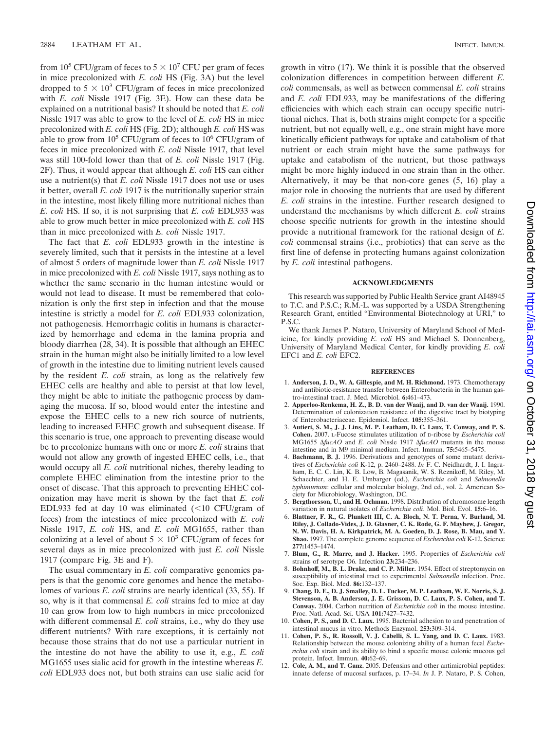from 10<sup>5</sup> CFU/gram of feces to  $5 \times 10^7$  CFU per gram of feces in mice precolonized with *E. coli* HS (Fig. 3A) but the level dropped to  $5 \times 10^3$  CFU/gram of feces in mice precolonized with *E. coli* Nissle 1917 (Fig. 3E). How can these data be explained on a nutritional basis? It should be noted that *E. coli* Nissle 1917 was able to grow to the level of *E. coli* HS in mice precolonized with *E. coli* HS (Fig. 2D); although *E. coli* HS was able to grow from  $10^5$  CFU/gram of feces to  $10^6$  CFU/gram of feces in mice precolonized with *E. coli* Nissle 1917, that level was still 100-fold lower than that of *E. coli* Nissle 1917 (Fig. 2F). Thus, it would appear that although *E. coli* HS can either use a nutrient(s) that *E. coli* Nissle 1917 does not use or uses it better, overall *E. coli* 1917 is the nutritionally superior strain in the intestine, most likely filling more nutritional niches than *E. coli* HS. If so, it is not surprising that *E. coli* EDL933 was able to grow much better in mice precolonized with *E. coli* HS than in mice precolonized with *E. coli* Nissle 1917.

The fact that *E. coli* EDL933 growth in the intestine is severely limited, such that it persists in the intestine at a level of almost 5 orders of magnitude lower than *E. coli* Nissle 1917 in mice precolonized with *E. coli* Nissle 1917, says nothing as to whether the same scenario in the human intestine would or would not lead to disease. It must be remembered that colonization is only the first step in infection and that the mouse intestine is strictly a model for *E. coli* EDL933 colonization, not pathogenesis. Hemorrhagic colitis in humans is characterized by hemorrhage and edema in the lamina propria and bloody diarrhea (28, 34). It is possible that although an EHEC strain in the human might also be initially limited to a low level of growth in the intestine due to limiting nutrient levels caused by the resident *E. coli* strain, as long as the relatively few EHEC cells are healthy and able to persist at that low level, they might be able to initiate the pathogenic process by damaging the mucosa. If so, blood would enter the intestine and expose the EHEC cells to a new rich source of nutrients, leading to increased EHEC growth and subsequent disease. If this scenario is true, one approach to preventing disease would be to precolonize humans with one or more *E. coli* strains that would not allow any growth of ingested EHEC cells, i.e., that would occupy all *E. coli* nutritional niches, thereby leading to complete EHEC elimination from the intestine prior to the onset of disease. That this approach to preventing EHEC colonization may have merit is shown by the fact that *E. coli* EDL933 fed at day 10 was eliminated  $\left($  < 10 CFU/gram of feces) from the intestines of mice precolonized with *E. coli* Nissle 1917, *E. coli* HS, and *E. coli* MG1655, rather than colonizing at a level of about  $5 \times 10^3$  CFU/gram of feces for several days as in mice precolonized with just *E. coli* Nissle 1917 (compare Fig. 3E and F).

The usual commentary in *E. coli* comparative genomics papers is that the genomic core genomes and hence the metabolomes of various *E. coli* strains are nearly identical (33, 55). If so, why is it that commensal *E. coli* strains fed to mice at day 10 can grow from low to high numbers in mice precolonized with different commensal *E. coli* strains, i.e., why do they use different nutrients? With rare exceptions, it is certainly not because those strains that do not use a particular nutrient in the intestine do not have the ability to use it, e.g., *E. coli* MG1655 uses sialic acid for growth in the intestine whereas *E. coli* EDL933 does not, but both strains can use sialic acid for

growth in vitro (17). We think it is possible that the observed colonization differences in competition between different *E. coli* commensals, as well as between commensal *E. coli* strains and *E. coli* EDL933, may be manifestations of the differing efficiencies with which each strain can occupy specific nutritional niches. That is, both strains might compete for a specific nutrient, but not equally well, e.g., one strain might have more kinetically efficient pathways for uptake and catabolism of that nutrient or each strain might have the same pathways for uptake and catabolism of the nutrient, but those pathways might be more highly induced in one strain than in the other. Alternatively, it may be that non-core genes (5, 16) play a major role in choosing the nutrients that are used by different *E. coli* strains in the intestine. Further research designed to understand the mechanisms by which different *E. coli* strains choose specific nutrients for growth in the intestine should provide a nutritional framework for the rational design of *E. coli* commensal strains (i.e., probiotics) that can serve as the first line of defense in protecting humans against colonization by *E. coli* intestinal pathogens.

#### **ACKNOWLEDGMENTS**

This research was supported by Public Health Service grant AI48945 to T.C. and P.S.C.; R.M.-L. was supported by a USDA Strengthening Research Grant, entitled "Environmental Biotechnology at URI," to P.S.C.

We thank James P. Nataro, University of Maryland School of Medicine, for kindly providing *E. coli* HS and Michael S. Donnenberg, University of Maryland Medical Center, for kindly providing *E. coli* EFC1 and *E. coli* EFC2.

#### **REFERENCES**

- 1. **Anderson, J. D., W. A. Gillespie, and M. H. Richmond.** 1973. Chemotherapy and antibiotic-resistance transfer between Enterobacteria in the human gastro-intestinal tract. J. Med. Microbiol. **6:**461–473.
- 2. **Apperloo-Renkema, H. Z., B. D. van der Waaij, and D. van der Waaij.** 1990. Determination of colonization resistance of the digestive tract by biotyping of Enterobacteriaceae. Epidemiol. Infect. **105:**355–361.
- 3. **Autieri, S. M., J. J. Lins, M. P. Leatham, D. C. Laux, T. Conway, and P. S. Cohen.** 2007. L-Fucose stimulates utilization of D-ribose by *Escherichia coli* MG1655 *fucAO* and *E. coli* Nissle 1917 *fucAO* mutants in the mouse intestine and in M9 minimal medium. Infect. Immun. **75:**5465–5475.
- 4. **Bachmann, B. J.** 1996. Derivations and genotypes of some mutant derivatives of *Escherichia coli* K-12, p. 2460–2488. *In* F. C. Neidhardt, J. I. Ingraham, E. C. C. Lin, K. B. Low, B. Magasanik, W. S. Reznikoff, M. Riley, M. Schaechter, and H. E. Umbarger (ed.), *Escherichia coli* and *Salmonella typhimurium*: cellular and molecular biology, 2nd ed., vol. 2. American Society for Microbiology, Washington, DC.
- 5. **Bergthorsson, U., and H. Ochman.** 1998. Distribution of chromosome length variation in natural isolates of *Escherichia coli*. Mol. Biol. Evol. **15:**6–16.
- 6. **Blattner, F. R., G. Plunkett III, C. A. Bloch, N. T. Perna, V. Burland, M. Riley, J. Collado-Vides, J. D. Glasner, C. K. Rode, G. F. Mayhew, J. Gregor, N. W. Davis, H. A. Kirkpatrick, M. A. Goeden, D. J. Rose, B. Mau, and Y. Shao.** 1997. The complete genome sequence of *Escherichia coli* K-12. Science **277:**1453–1474.
- 7. **Blum, G., R. Marre, and J. Hacker.** 1995. Properties of *Escherichia coli* strains of serotype O6. Infection **23:**234–236.
- 8. **Bohnhoff, M., B. L. Drake, and C. P. Miller.** 1954. Effect of streptomycin on susceptibility of intestinal tract to experimental *Salmonella* infection. Proc. Soc. Exp. Biol. Med. **86:**132–137.
- 9. **Chang, D. E., D. J. Smalley, D. L. Tucker, M. P. Leatham, W. E. Norris, S. J. Stevenson, A. B. Anderson, J. E. Grissom, D. C. Laux, P. S. Cohen, and T. Conway.** 2004. Carbon nutrition of *Escherichia coli* in the mouse intestine. Proc. Natl. Acad. Sci. USA **101:**7427–7432.
- 10. **Cohen, P. S., and D. C. Laux.** 1995. Bacterial adhesion to and penetration of intestinal mucus in vitro. Methods Enzymol. **253:**309–314.
- 11. **Cohen, P. S., R. Rossoll, V. J. Cabelli, S. L. Yang, and D. C. Laux.** 1983. Relationship between the mouse colonizing ability of a human fecal *Escherichia coli* strain and its ability to bind a specific mouse colonic mucous gel protein. Infect. Immun. **40:**62–69.
- 12. **Cole, A. M., and T. Ganz.** 2005. Defensins and other antimicrobial peptides: innate defense of mucosal surfaces, p. 17–34. *In* J. P. Nataro, P. S. Cohen,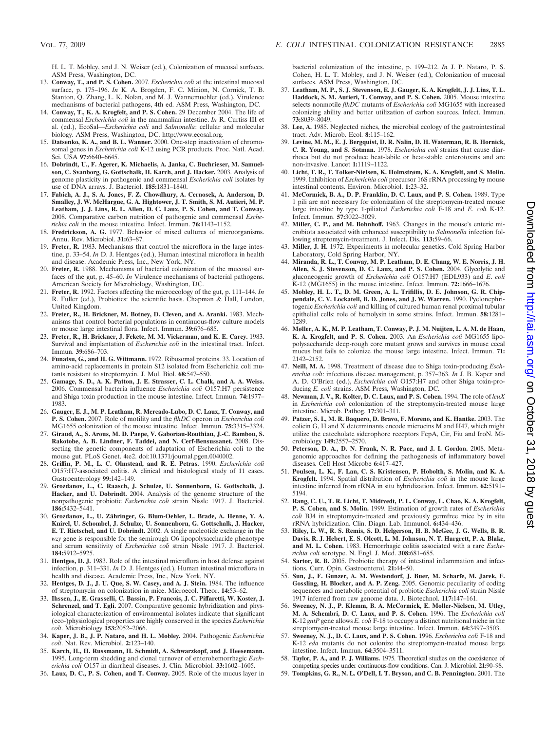H. L. T. Mobley, and J. N. Weiser (ed.), Colonization of mucosal surfaces. ASM Press, Washington, DC.

- 13. **Conway, T., and P. S. Cohen.** 2007. *Escherichia coli* at the intestinal mucosal surface, p. 175–196. *In* K. A. Brogden, F. C. Minion, N. Cornick, T. B. Stanton, Q. Zhang, L. K. Nolan, and M. J. Wannemuehler (ed.), Virulence mechanisms of bacterial pathogens, 4th ed. ASM Press, Washington, DC.
- 14. **Conway, T., K. A. Krogfelt, and P. S. Cohen.** 29 December 2004. The life of commensal *Escherichia coli* in the mammalian intestine. *In* R. Curtiss III et al. (ed.), EcoSal—*Escherichia coli* and *Salmonella*: cellular and molecular biology. ASM Press, Washington, DC. http://www.ecosal.org.
- 15. **Datsenko, K. A., and B. L. Wanner.** 2000. One-step inactivation of chromosomal genes in *Escherichia coli* K-12 using PCR products. Proc. Natl. Acad. Sci. USA **97:**6640–6645.
- 16. **Dobrindt, U., F. Agerer, K. Michaelis, A. Janka, C. Buchrieser, M. Samuelson, C. Svanborg, G. Gottschalk, H. Karch, and J. Hacker.** 2003. Analysis of genome plasticity in pathogenic and commensal *Escherichia coli* isolates by use of DNA arrays. J. Bacteriol. **185:**1831–1840.
- 17. **Fabich, A. J., S. A. Jones, F. Z. Chowdhury, A. Cernosek, A. Anderson, D. Smalley, J. W. McHargue, G. A. Hightower, J. T. Smith, S. M. Autieri, M. P. Leatham, J. J. Lins, R. L. Allen, D. C. Laux, P. S. Cohen, and T. Conway.** 2008. Comparative carbon nutrition of pathogenic and commensal *Escherichia coli* in the mouse intestine. Infect. Immun. **76:**1143–1152.
- 18. **Fredrickson, A. G.** 1977. Behavior of mixed cultures of microorganisms. Annu. Rev. Microbiol. **31:**63–87.
- 19. **Freter, R.** 1983. Mechanisms that control the microflora in the large intestine, p. 33–54. *In* D. J. Hentges (ed.), Human intestinal microflora in health and disease. Academic Press, Inc., New York, NY.
- 20. **Freter, R.** 1988. Mechanisms of bacterial colonization of the mucosal surfaces of the gut, p. 45–60. *In* Virulence mechanisms of bacterial pathogens. American Society for Microbiology, Washington, DC.
- 21. **Freter, R.** 1992. Factors affecting the microecology of the gut, p. 111–144. *In* R. Fuller (ed.), Probiotics: the scientific basis. Chapman & Hall, London, United Kingdom.
- 22. **Freter, R., H. Brickner, M. Botney, D. Cleven, and A. Aranki.** 1983. Mechanisms that control bacterial populations in continuous-flow culture models or mouse large intestinal flora. Infect. Immun. **39:**676–685.
- 23. **Freter, R., H. Brickner, J. Fekete, M. M. Vickerman, and K. E. Carey.** 1983. Survival and implantation of *Escherichia coli* in the intestinal tract. Infect. Immun. **39:**686–703.
- 24. **Funatsu, G., and H. G. Wittmann.** 1972. Ribosomal proteins. 33. Location of amino-acid replacements in protein S12 isolated from Escherichia coli mutants resistant to streptomycin. J. Mol. Biol. **68:**547–550.
- 25. **Gamage, S. D., A. K. Patton, J. E. Strasser, C. L. Chalk, and A. A. Weiss.** 2006. Commensal bacteria influence *Escherichia coli* O157:H7 persistence and Shiga toxin production in the mouse intestine. Infect. Immun. **74:**1977– 1983.
- 26. **Gauger, E. J., M. P. Leatham, R. Mercado-Lubo, D. C. Laux, T. Conway, and P. S. Cohen.** 2007. Role of motility and the *flhDC* operon in *Escherichia coli* MG1655 colonization of the mouse intestine. Infect. Immun. **75:**3315–3324.
- 27. **Giraud, A., S. Arous, M. D. Paepe, V. Gaboriau-Routhiau, J.-C. Bambou, S. Rakotobe, A. B. Lindner, F. Taddei, and N. Cerf-Bensussanet.** 2008. Dissecting the genetic components of adaptation of Escherichia coli to the mouse gut. PLoS Genet. **4:**e2. doi:10.1371/journal.pgen.0040002.
- 28. **Griffin, P. M., L. C. Olmstead, and R. E. Petras.** 1990. *Escherichia coli* O157:H7-associated colitis. A clinical and histological study of 11 cases. Gastroenterology **99:**142–149.
- 29. **Grozdanov, L., C. Raasch, J. Schulze, U. Sonnenborn, G. Gottschalk, J. Hacker, and U. Dobrindt.** 2004. Analysis of the genome structure of the nonpathogenic probiotic *Escherichia coli* strain Nissle 1917. J. Bacteriol. **186:**5432–5441.
- 30. **Grozdanov, L., U. Zähringer, G. Blum-Oehler, L. Brade, A. Henne, Y. A. Knirel, U. Schombel, J. Schulze, U. Sonnenborn, G. Gottschalk, J. Hacker, E. T. Rietschel, and U. Dobrindt.** 2002. A single nucleotide exchange in the *wzy* gene is responsible for the semirough O6 lipopolysaccharide phenotype and serum sensitivity of *Escherichia coli* strain Nissle 1917. J. Bacteriol. **184:**5912–5925.
- 31. **Hentges, D. J.** 1983. Role of the intestinal microflora in host defense against infection, p. 311–331. *In* D. J. Hentges (ed.), Human intestinal microflora in health and disease. Academic Press, Inc., New York, NY.
- 32. **Hentges, D. J., J. U. Que, S. W. Casey, and A. J. Stein.** 1984. The influence of streptomycin on colonization in mice. Microecol. Theor. **14:**53–62.
- 33. **Ihssen, J., E. Grasselli, C. Bassin, P. Francois, J. C. Piffaretti, W. Koster, J. Schrenzel, and T. Egli.** 2007. Comparative genomic hybridization and physiological characterization of environmental isolates indicate that significant (eco-)physiological properties are highly conserved in the species *Escherichia coli*. Microbiology **153:**2052–2066.
- 34. **Kaper, J. B., J. P. Nataro, and H. L. Mobley.** 2004. Pathogenic *Escherichia coli*. Nat. Rev. Microbiol. **2:**123–140.
- 35. **Karch, H., H. Russmann, H. Schmidt, A. Schwarzkopf, and J. Heesemann.** 1995. Long-term shedding and clonal turnover of enterohemorrhagic *Escherichia coli* O157 in diarrheal diseases. J. Clin. Microbiol. **33:**1602–1605.
- 36. **Laux, D. C., P. S. Cohen, and T. Conway.** 2005. Role of the mucus layer in

bacterial colonization of the intestine, p. 199–212. *In* J. P. Nataro, P. S. Cohen, H. L. T. Mobley, and J. N. Weiser (ed.), Colonization of mucosal surfaces. ASM Press, Washington, DC.

- 37. **Leatham, M. P., S. J. Stevenson, E. J. Gauger, K. A. Krogfelt, J. J. Lins, T. L. Haddock, S. M. Autieri, T. Conway, and P. S. Cohen.** 2005. Mouse intestine selects nonmotile *flhDC* mutants of *Escherichia coli* MG1655 with increased colonizing ability and better utilization of carbon sources. Infect. Immun. **73:**8039–8049.
- 38. **Lee, A.** 1985. Neglected niches, the microbial ecology of the gastrointestinal tract. Adv. Microb. Ecol. **8:**115–162.
- 39. **Levine, M. M., E. J. Bergquist, D. R. Nalin, D. H. Waterman, R. B. Hornick, C. R. Young, and S. Sotman.** 1978. *Escherichia coli* strains that cause diarrhoea but do not produce heat-labile or heat-stable enterotoxins and are non-invasive. Lancet **1:**1119–1122.
- 40. **Licht, T. R., T. Tolker-Nielsen, K. Holmstrøm, K. A. Krogfelt, and S. Molin.** 1999. Inhibition of *Escherichia coli* precursor 16S rRNA processing by mouse intestinal contents. Environ. Microbiol. **1:**23–32.
- 41. **McCormick, B. A., D. P. Franklin, D. C. Laux, and P. S. Cohen.** 1989. Type 1 pili are not necessary for colonization of the streptomycin-treated mouse large intestine by type 1-piliated *Escherichia coli* F-18 and *E. coli* K-12. Infect. Immun. **57:**3022–3029.
- 42. **Miller, C. P., and M. Bohnhoff.** 1963. Changes in the mouse's enteric microbiota associated with enhanced susceptibility to *Salmonella* infection following streptomycin-treatment. J. Infect. Dis. **113:**59–66.
- 43. **Miller, J. H.** 1972. Experiments in molecular genetics. Cold Spring Harbor Laboratory, Cold Spring Harbor, NY.
- 44. **Miranda, R. L., T. Conway, M. P. Leatham, D. E. Chang, W. E. Norris, J. H. Allen, S. J. Stevenson, D. C. Laux, and P. S. Cohen.** 2004. Glycolytic and gluconeogenic growth of *Escherichia coli* O157:H7 (EDL933) and *E*. *coli* K-12 (MG1655) in the mouse intestine. Infect. Immun. **72:**1666–1676.
- 45. **Mobley, H. L. T., D. M. Green, A. L. Trifillis, D. E. Johnson, G. R. Chippendale, C. V. Lockatell, B. D. Jones, and J. W. Warren.** 1990. Pyelonephritogenic *Escherichia coli* and killing of cultured human renal proximal tubular epithelial cells: role of hemolysin in some strains. Infect. Immun. **58:**1281– 1289.
- 46. **Møller, A. K., M. P. Leatham, T. Conway, P. J. M. Nuijten, L. A. M. de Haan, K. A. Krogfelt, and P. S. Cohen.** 2003. An *Escherichia coli* MG1655 lipopolysaccharide deep-rough core mutant grows and survives in mouse cecal mucus but fails to colonize the mouse large intestine. Infect. Immun. **71:** 2142–2152.
- 47. **Neill, M. A.** 1998. Treatment of disease due to Shiga toxin-producing *Escherichia coli*: infectious disease management, p. 357–363. *In* J. B. Kaper and A. D. O'Brien (ed.), *Escherichia coli* O157:H7 and other Shiga toxin-producing *E. coli* strains. ASM Press, Washington, DC.
- 48. **Newman, J. V., R. Kolter, D. C. Laux, and P. S. Cohen.** 1994. The role of *leuX* in *Escherichia coli* colonization of the streptomycin-treated mouse large intestine. Microb. Pathog. **17:**301–311.
- 49. **Patzer, S. I., M. R. Baquero, D. Bravo, F. Moreno, and K. Hantke.** 2003. The colicin G, H and X determinants encode microcins M and H47, which might utilize the catecholate siderophore receptors FepA, Cir, Fiu and IroN. Microbiology **149:**2557–2570.
- 50. **Peterson, D. A., D. N. Frank, N. R. Pace, and J. I. Gordon.** 2008. Metagenomic approaches for defining the pathogenesis of inflammatory bowel diseases. Cell Host Microbe **6:**417–427.
- 51. **Poulsen, L. K., F. Lan, C. S. Kristensen, P. Hobolth, S. Molin, and K. A. Krogfelt.** 1994. Spatial distribution of *Escherichia coli* in the mouse large intestine inferred from rRNA in situ hybridization. Infect. Immun. **62:**5191– 5194.
- 52. **Rang, C. U., T. R. Licht, T. Midtvedt, P. L. Conway, L. Chao, K. A. Krogfelt, P. S. Cohen, and S. Molin.** 1999. Estimation of growth rates of *Escherichia coli* BJ4 in streptomycin-treated and previously germfree mice by in situ rRNA hybridization. Clin. Diagn. Lab. Immunol. **6:**434–436.
- 53. **Riley, L. W., R. S. Remis, S. D. Helgerson, H. B. McGee, J. G. Wells, B. R. Davis, R. J. Hebert, E. S. Olcott, L. M. Johnson, N. T. Hargrett, P. A. Blake, and M. L. Cohen.** 1983. Hemorrhagic colitis associated with a rare *Escherichia coli* serotype. N. Engl. J. Med. **308:**681–685.
- 54. **Sartor, R. B.** 2005. Probiotic therapy of intestinal inflammation and infections. Curr. Opin. Gastroenterol. **21:**44–50.
- 55. **Sun, J., F. Gunzer, A. M. Westendorf, J. Buer, M. Scharfe, M. Jarek, F. Gossling, H. Blocker, and A. P. Zeng.** 2005. Genomic peculiarity of coding sequences and metabolic potential of probiotic *Escherichia coli* strain Nissle 1917 inferred from raw genome data. J. Biotechnol. **117:**147–161.
- 56. **Sweeney, N. J., P. Klemm, B. A. McCormick, E. Moller-Nielsen, M. Utley, M. A. Schembri, D. C. Laux, and P. S. Cohen.** 1996. The *Escherichia coli* K-12 *gntP* gene allows *E. coli* F-18 to occupy a distinct nutritional niche in the streptomycin-treated mouse large intestine. Infect. Immun. **64:**3497–3503.
- 57. **Sweeney, N. J., D. C. Laux, and P. S. Cohen.** 1996. *Escherichia coli* F-18 and K-12 *eda* mutants do not colonize the streptomycin-treated mouse large intestine. Infect. Immun. **64:**3504–3511.
- 58. **Taylor, P. A., and P. J. Williams.** 1975. Theoretical studies on the coexistence of competing species under continuous-flow conditions. Can. J. Microbiol. **21:**90–98.
- 59. **Tompkins, G. R., N. L. O'Dell, I. T. Bryson, and C. B. Pennington.** 2001. The